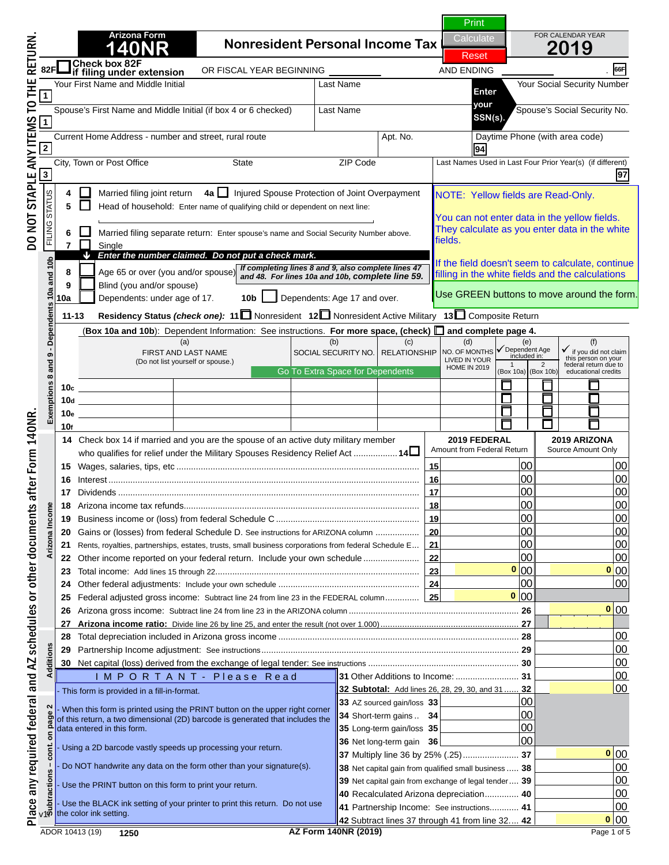**0 0 0 0**

# **1400 N O T I C E**

**Arizona Form** 

Spouse's First Name and Middle Initial (if box 4 or 6 checked) Last Name Spouse's Social Security No. **your** Current Home Address - number and street, rural route Apt. No. Daytime Phone (with area code) City, Town or Post Office State ZIP Code Last Names Used in Last Four Prior Year(s) (if different) **2 94 this is NOT a complete return. SSN(s). If you are viewing this message,** 

**88R <sup>4</sup>** Married filing joint return **4a**  Injured Spouse Protection of Joint Overpayment **France of household: Enter name of the Street** of the Comple NOTE: Yellow fields are Read-Only. **To print a completed return:**  $\blacksquare$ 

**811 required fields must be filled in. 9** Blind (you and/or spouse) **10a** Dependents: under age of 17. **10b** Dependents: Age 17 and over. **11-13 Residency Status** *(check one):* **<sup>11</sup>** Nonresident **12** Nonresident Active Military **13** Composite Return *Enter the number claimed. Do not put a check mark.* **around the data field).**  $\begin{bmatrix} 1 \\ 2 \end{bmatrix}$ *If completing lines 8 and 9, also complete lines 47 and 48. For lines 10a and 10b, complete line 59.* a fillad in to calculate, continue All required fields must be filled in. (Required Fields are indicated by a "Red Box"

k on the Green PRINT Button located at the **10d 1** and **1** and **1** and **1** and **1 10. In the set of page 1. 10. In the set of page 1. Click on the Green PRINT Button located at the top** 

**15** Wages, salaries, tips, etc .................................................................................................... **15** 00 00 **NOTE: Clicking the PRINT button will perform the 17** Dividends ............................................................................................................................ **17** 00 00 **188 Arizonalist refunds calculations and** *calculations and* **19 Business income of the federal Schedule C** .................................. **20** Gains or (losses) from federal Schedule D. See instructions for ARIZONA column .................. **20** 00 00 **211 Rents, estate the barcode. 211** Place and AZ schedules or other documents after Form 140NR. DO NOT STAPLE ANY ITEMS TO THE RETURN 140NR. A SCH



**23** Total income: Add lines 15 through 22.................................................................................... **23** 00 00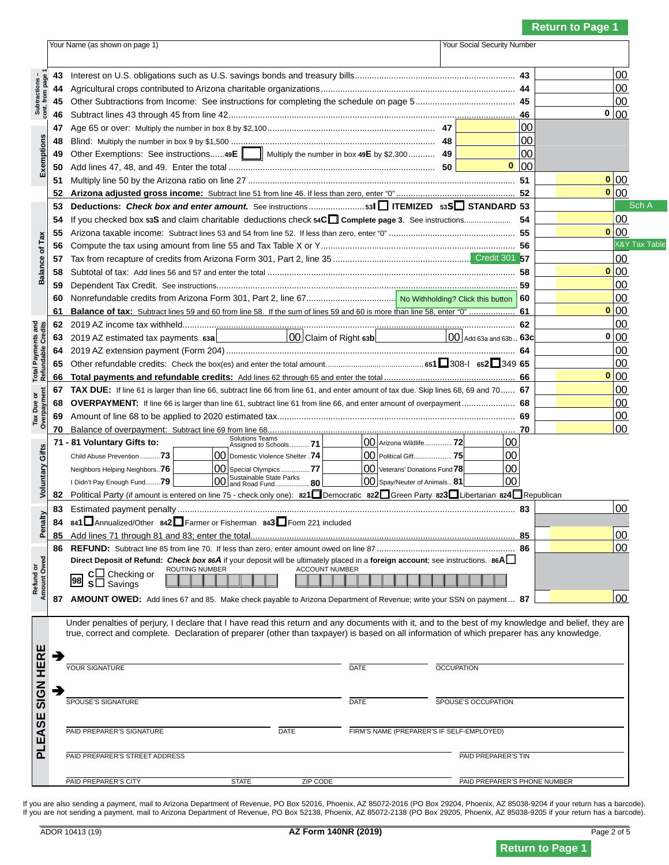### **Return to Page 1**

|                                                  |    | Your Social Security Number<br>Your Name (as shown on page 1)                                                                                                                                                                                                                                    |  |                                       |                 |      |                          |
|--------------------------------------------------|----|--------------------------------------------------------------------------------------------------------------------------------------------------------------------------------------------------------------------------------------------------------------------------------------------------|--|---------------------------------------|-----------------|------|--------------------------|
|                                                  |    |                                                                                                                                                                                                                                                                                                  |  |                                       |                 |      |                          |
|                                                  | 43 |                                                                                                                                                                                                                                                                                                  |  |                                       |                 |      | 00                       |
| Subtractions<br>cont. from page                  | 44 |                                                                                                                                                                                                                                                                                                  |  |                                       |                 |      | 00                       |
|                                                  | 45 |                                                                                                                                                                                                                                                                                                  |  |                                       |                 | 00   |                          |
|                                                  | 46 |                                                                                                                                                                                                                                                                                                  |  |                                       | 46              | 0 00 |                          |
|                                                  | 47 |                                                                                                                                                                                                                                                                                                  |  |                                       | 00              |      |                          |
|                                                  | 48 |                                                                                                                                                                                                                                                                                                  |  |                                       | 00              |      |                          |
| Exemptions                                       | 49 | Other Exemptions: See instructions49E    Multiply the number in box 49E by \$2,300 49                                                                                                                                                                                                            |  |                                       | 00              |      |                          |
|                                                  | 50 |                                                                                                                                                                                                                                                                                                  |  |                                       | $\frac{1}{100}$ |      |                          |
|                                                  | 51 |                                                                                                                                                                                                                                                                                                  |  |                                       | 51              | 0 00 |                          |
|                                                  | 52 |                                                                                                                                                                                                                                                                                                  |  |                                       | 52              | 0 00 |                          |
|                                                  | 53 | Deductions: Check box and enter amount. See instructions531 TEMIZED 53S STANDARD 53                                                                                                                                                                                                              |  |                                       |                 |      | Sch A                    |
|                                                  | 54 | If you checked box 53S and claim charitable deductions check 54C Complete page 3. See instructions                                                                                                                                                                                               |  |                                       | -54             |      | 00                       |
|                                                  | 55 |                                                                                                                                                                                                                                                                                                  |  |                                       |                 | 0 00 |                          |
| of Tax                                           | 56 |                                                                                                                                                                                                                                                                                                  |  |                                       |                 |      | <b>X&amp;Y Tax Table</b> |
|                                                  | 57 |                                                                                                                                                                                                                                                                                                  |  |                                       |                 |      | 00                       |
| <b>Balance</b>                                   | 58 |                                                                                                                                                                                                                                                                                                  |  |                                       |                 | 0 00 |                          |
|                                                  | 59 |                                                                                                                                                                                                                                                                                                  |  |                                       | 59              |      | 00                       |
|                                                  | 60 |                                                                                                                                                                                                                                                                                                  |  |                                       | 60              |      | 00                       |
|                                                  | 61 |                                                                                                                                                                                                                                                                                                  |  |                                       |                 | 0 00 |                          |
|                                                  | 62 |                                                                                                                                                                                                                                                                                                  |  |                                       | 62              |      | 00                       |
|                                                  | 63 | 2019 AZ estimated tax payments 63a                                                                                                                                                                                                                                                               |  | $\overline{ 00 }$ Add 63a and 63b 63c |                 | 0 00 |                          |
| <b>Total Payments and<br/>Refundable Credits</b> | 64 |                                                                                                                                                                                                                                                                                                  |  |                                       | 64              |      | 00                       |
|                                                  | 65 |                                                                                                                                                                                                                                                                                                  |  |                                       |                 |      | 00                       |
|                                                  | 66 |                                                                                                                                                                                                                                                                                                  |  |                                       |                 | 0 00 |                          |
|                                                  | 67 | TAX DUE: If line 61 is larger than line 66, subtract line 66 from line 61, and enter amount of tax due. Skip lines 68, 69 and 70 67                                                                                                                                                              |  |                                       |                 |      | 00                       |
|                                                  | 68 | OVERPAYMENT: If line 66 is larger than line 61, subtract line 61 from line 66, and enter amount of overpayment 68                                                                                                                                                                                |  |                                       |                 |      | 00                       |
| Tax Due or<br>Overpayment                        | 69 |                                                                                                                                                                                                                                                                                                  |  |                                       |                 |      | $00\,$                   |
|                                                  | 70 |                                                                                                                                                                                                                                                                                                  |  |                                       | 70              |      | 00                       |
|                                                  |    | Solutions Teams<br>00 Arizona Wildlife 72<br>71 - 81 Voluntary Gifts to:<br>Assigned to Schools71                                                                                                                                                                                                |  | 00                                    |                 |      |                          |
| Voluntary Gifts                                  |    | 00 Domestic Violence Shelter .74<br>00 Political Gift 75<br>Child Abuse Prevention 73                                                                                                                                                                                                            |  | 00                                    |                 |      |                          |
|                                                  |    | 00 Veterans' Donations Fund 78<br>00 Special Olympics 77<br>Neighbors Helping Neighbors 76                                                                                                                                                                                                       |  | 00                                    |                 |      |                          |
|                                                  |    | 00 Sustainable State Parks<br>00 and Road Fund 80<br>$ 00 $ Spay/Neuter of Animals 81<br>I Didn't Pay Enough Fund79                                                                                                                                                                              |  | 00                                    |                 |      |                          |
|                                                  | 82 | Political Party (if amount is entered on line 75 - check only one): 821 Democratic 822 Green Party 823 Libertarian 824 Republican                                                                                                                                                                |  |                                       |                 |      |                          |
|                                                  | 83 |                                                                                                                                                                                                                                                                                                  |  |                                       | 83              |      | 00                       |
| nalty                                            |    | 84 841 Annualized/Other 842 Farmer or Fisherman 843 Form 221 included                                                                                                                                                                                                                            |  |                                       |                 |      |                          |
|                                                  |    |                                                                                                                                                                                                                                                                                                  |  |                                       | 85              |      | 00                       |
|                                                  | 86 |                                                                                                                                                                                                                                                                                                  |  |                                       |                 |      | 00                       |
|                                                  |    | Direct Deposit of Refund: Check box 86A if your deposit will be ultimately placed in a foreign account; see instructions. 86A                                                                                                                                                                    |  |                                       |                 |      |                          |
| Refund or<br>Amount Owed                         |    | ROUTING NUMBER<br><b>ACCOUNT NUMBER</b><br>$c \Box$ Checking or                                                                                                                                                                                                                                  |  |                                       |                 |      |                          |
|                                                  |    | 98 s□ Savings                                                                                                                                                                                                                                                                                    |  |                                       |                 |      |                          |
|                                                  | 87 | AMOUNT OWED: Add lines 67 and 85. Make check payable to Arizona Department of Revenue; write your SSN on payment 87                                                                                                                                                                              |  |                                       |                 |      | 00                       |
|                                                  |    |                                                                                                                                                                                                                                                                                                  |  |                                       |                 |      |                          |
|                                                  |    | Under penalties of perjury, I declare that I have read this return and any documents with it, and to the best of my knowledge and belief, they are<br>true, correct and complete. Declaration of preparer (other than taxpayer) is based on all information of which preparer has any knowledge. |  |                                       |                 |      |                          |
|                                                  |    |                                                                                                                                                                                                                                                                                                  |  |                                       |                 |      |                          |
|                                                  | ∍  |                                                                                                                                                                                                                                                                                                  |  |                                       |                 |      |                          |
|                                                  |    | YOUR SIGNATURE<br>DATE                                                                                                                                                                                                                                                                           |  | <b>OCCUPATION</b>                     |                 |      |                          |
|                                                  |    |                                                                                                                                                                                                                                                                                                  |  |                                       |                 |      |                          |
| <b>SIGN HERE</b>                                 | ∍  | SPOUSE'S SIGNATURE<br><b>DATE</b>                                                                                                                                                                                                                                                                |  | SPOUSE'S OCCUPATION                   |                 |      |                          |
|                                                  |    |                                                                                                                                                                                                                                                                                                  |  |                                       |                 |      |                          |
|                                                  |    |                                                                                                                                                                                                                                                                                                  |  |                                       |                 |      |                          |
|                                                  |    | PAID PREPARER'S SIGNATURE<br><b>DATE</b><br>FIRM'S NAME (PREPARER'S IF SELF-EMPLOYED)                                                                                                                                                                                                            |  |                                       |                 |      |                          |
| PLEASE                                           |    |                                                                                                                                                                                                                                                                                                  |  |                                       |                 |      |                          |
|                                                  |    | PAID PREPARER'S STREET ADDRESS                                                                                                                                                                                                                                                                   |  | PAID PREPARER'S TIN                   |                 |      |                          |
|                                                  |    | PAID PREPARER'S CITY<br><b>STATE</b><br>ZIP CODE                                                                                                                                                                                                                                                 |  | PAID PREPARER'S PHONE NUMBER          |                 |      |                          |
|                                                  |    |                                                                                                                                                                                                                                                                                                  |  |                                       |                 |      |                          |

lf you are also sending a payment, mail to Arizona Department of Revenue, PO Box 52016, Phoenix, AZ 85072-2016 (PO Box 29204, Phoenix, AZ 85038-9204 if your return has a barcode).<br>If you are not sending a payment, mail to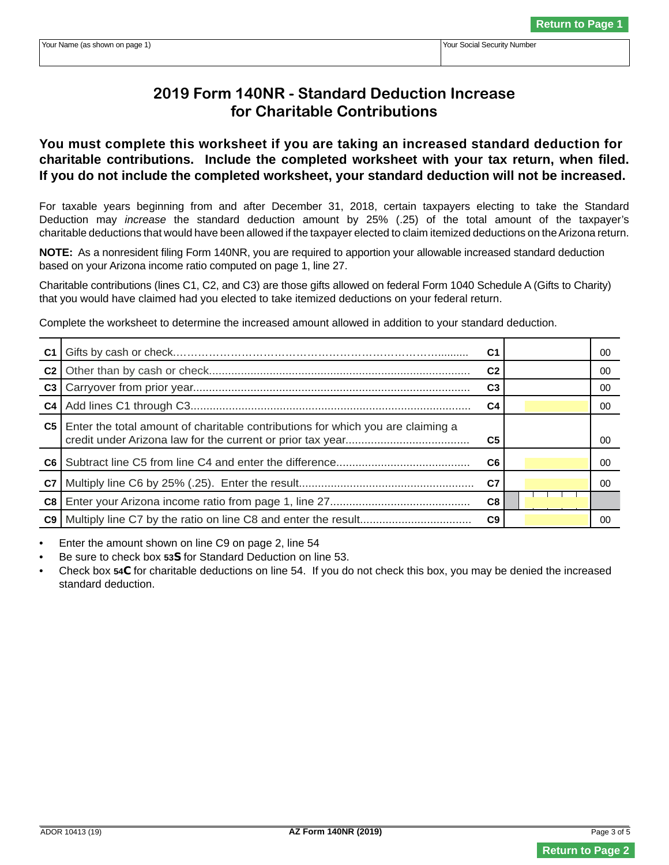## **2019 Form 140NR - Standard Deduction Increase for Charitable Contributions**

**You must complete this worksheet if you are taking an increased standard deduction for charitable contributions. Include the completed worksheet with your tax return, when filed. If you do not include the completed worksheet, your standard deduction will not be increased.** 

For taxable years beginning from and after December 31, 2018, certain taxpayers electing to take the Standard Deduction may *increase* the standard deduction amount by 25% (.25) of the total amount of the taxpayer's charitable deductions that would have been allowed if the taxpayer elected to claim itemized deductions on the Arizona return.

**NOTE:** As a nonresident filing Form 140NR, you are required to apportion your allowable increased standard deduction based on your Arizona income ratio computed on page 1, line 27.

Charitable contributions (lines C1, C2, and C3) are those gifts allowed on federal Form 1040 Schedule A (Gifts to Charity) that you would have claimed had you elected to take itemized deductions on your federal return.

Complete the worksheet to determine the increased amount allowed in addition to your standard deduction.

| C <sub>1</sub> |                                                                                      | C1             | 00  |
|----------------|--------------------------------------------------------------------------------------|----------------|-----|
| C <sub>2</sub> |                                                                                      | C <sub>2</sub> | 00  |
| C <sub>3</sub> |                                                                                      | C <sub>3</sub> | 00  |
|                |                                                                                      | C4             | 00  |
|                | C5   Enter the total amount of charitable contributions for which you are claiming a | C <sub>5</sub> | .00 |
|                |                                                                                      | C6             | 00  |
| C7             |                                                                                      | C7             | 00  |
| C8             |                                                                                      | C8             |     |
|                |                                                                                      | C <sub>9</sub> | 00  |

• Enter the amount shown on line C9 on page 2, line 54

- Be sure to check box **53S** for Standard Deduction on line 53.
- Check box **54C** for charitable deductions on line 54. If you do not check this box, you may be denied the increased standard deduction.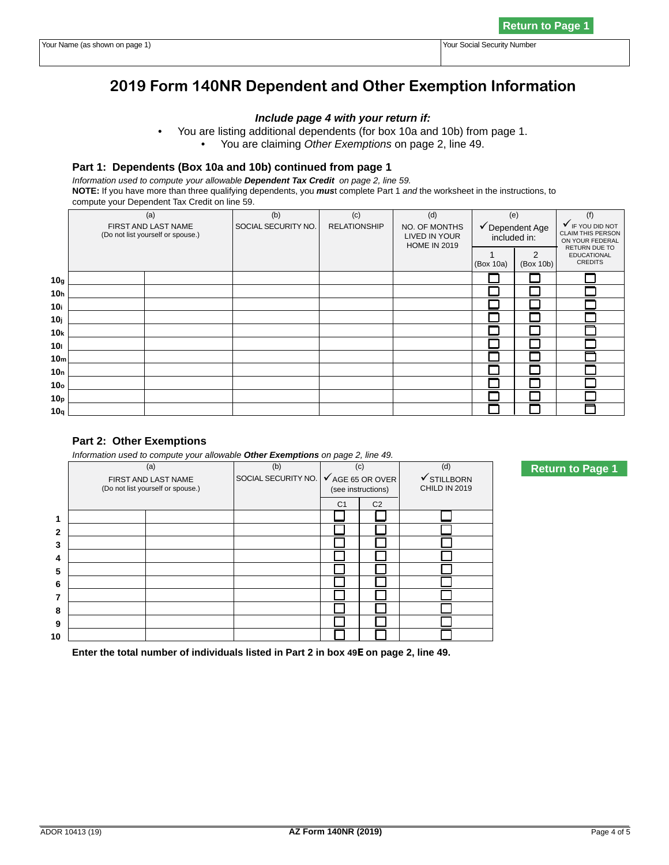## **2019 Form 140NR Dependent and Other Exemption Information**

## *Include page 4 with your return if:*

- You are listing additional dependents (for box 10a and 10b) from page 1.
	- You are claiming *Other Exemptions* on page 2, line 49.

### **Part 1: Dependents (Box 10a and 10b) continued from page 1**

*Information used to compute your allowable Dependent Tax Credit on page 2, line 59.* **NOTE:** If you have more than three qualifying dependents, you *mus*t complete Part 1 *and* the worksheet in the instructions, to compute your Dependent Tax Credit on line 59.

|                 | compare your bepondent rax order on mic oo.                     |                            |                            |                                                              |                     |                 |                                                                        |
|-----------------|-----------------------------------------------------------------|----------------------------|----------------------------|--------------------------------------------------------------|---------------------|-----------------|------------------------------------------------------------------------|
|                 | (a)<br>FIRST AND LAST NAME<br>(Do not list yourself or spouse.) | (b)<br>SOCIAL SECURITY NO. | (c)<br><b>RELATIONSHIP</b> | (d)<br>NO. OF MONTHS<br>LIVED IN YOUR<br><b>HOME IN 2019</b> | (e)<br>included in: | ✔ Dependent Age | (f)<br><b>V</b> IF YOU DID NOT<br>CLAIM THIS PERSON<br>ON YOUR FEDERAL |
|                 |                                                                 |                            |                            |                                                              | (Box 10a)           | 2<br>(Box 10b)  | RETURN DUE TO<br><b>EDUCATIONAL</b><br><b>CREDITS</b>                  |
| 10 <sub>g</sub> |                                                                 |                            |                            |                                                              |                     |                 |                                                                        |
| 10 <sub>h</sub> |                                                                 |                            |                            |                                                              |                     |                 |                                                                        |
| 10i             |                                                                 |                            |                            |                                                              |                     |                 |                                                                        |
| 10 <sub>j</sub> |                                                                 |                            |                            |                                                              |                     |                 |                                                                        |
| 10k             |                                                                 |                            |                            |                                                              |                     |                 |                                                                        |
| 10 <sub>1</sub> |                                                                 |                            |                            |                                                              |                     |                 |                                                                        |
| 10 <sub>m</sub> |                                                                 |                            |                            |                                                              |                     |                 |                                                                        |
| 10 <sub>n</sub> |                                                                 |                            |                            |                                                              |                     |                 |                                                                        |
| 10 <sub>o</sub> |                                                                 |                            |                            |                                                              |                     |                 |                                                                        |
| 10 <sub>p</sub> |                                                                 |                            |                            |                                                              |                     |                 |                                                                        |
| 10q             |                                                                 |                            |                            |                                                              |                     |                 |                                                                        |

## **Part 2: Other Exemptions**

*Information used to compute your allowable Other Exemptions on page 2, line 49.* 

|              | (a)                               | (b)                 | (c)                |                             | (d)                    |
|--------------|-----------------------------------|---------------------|--------------------|-----------------------------|------------------------|
|              | FIRST AND LAST NAME               | SOCIAL SECURITY NO. |                    | $\checkmark$ AGE 65 OR OVER | $\checkmark$ STILLBORN |
|              | (Do not list yourself or spouse.) |                     | (see instructions) |                             | CHILD IN 2019          |
|              |                                   |                     | C <sub>1</sub>     | C <sub>2</sub>              |                        |
| 1            |                                   |                     |                    |                             |                        |
| $\mathbf{2}$ |                                   |                     |                    |                             |                        |
| 3            |                                   |                     |                    |                             |                        |
| 4            |                                   |                     |                    |                             |                        |
| 5            |                                   |                     |                    |                             |                        |
| 6            |                                   |                     |                    |                             |                        |
| 7            |                                   |                     |                    |                             |                        |
| 8            |                                   |                     |                    |                             |                        |
| 9            |                                   |                     |                    |                             |                        |
| 10           |                                   |                     |                    |                             |                        |

 **Enter the total number of individuals listed in Part 2 in box 49E on page 2, line 49.**

**Return to Page 1**

**Return to Page 1**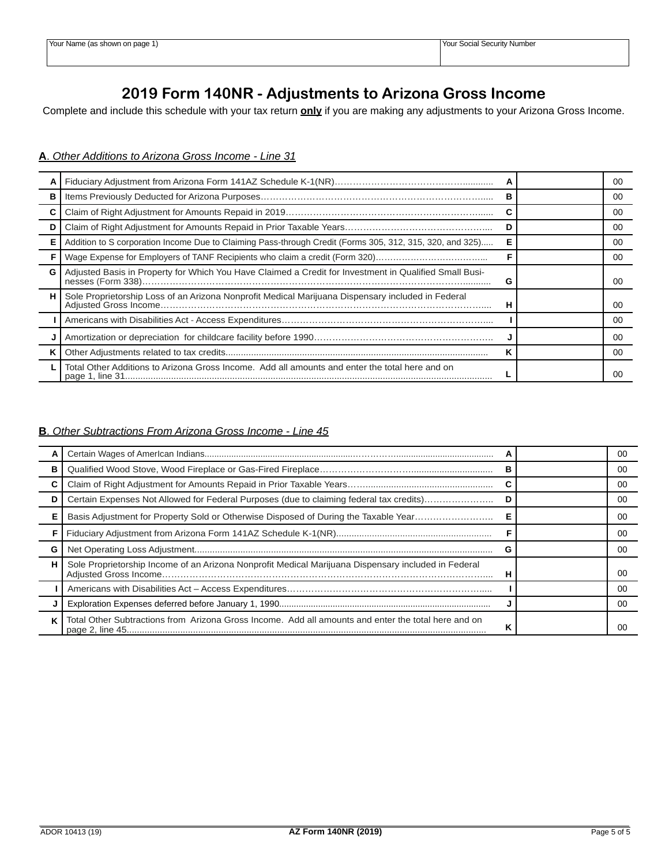## **2019 Form 140NR - Adjustments to Arizona Gross Income**

Complete and include this schedule with your tax return **only** if you are making any adjustments to your Arizona Gross Income.

## **A**. *Other Additions to Arizona Gross Income - Line 31*

|   |                                                                                                          |  | 00 |
|---|----------------------------------------------------------------------------------------------------------|--|----|
|   |                                                                                                          |  | 00 |
|   |                                                                                                          |  | 00 |
|   |                                                                                                          |  | 00 |
|   | Addition to S corporation Income Due to Claiming Pass-through Credit (Forms 305, 312, 315, 320, and 325) |  | 00 |
|   | Wage Expense for Employers of TANF Recipients who claim a credit (Form 320)                              |  | 00 |
| G | Adjusted Basis in Property for Which You Have Claimed a Credit for Investment in Qualified Small Busi-   |  | 00 |
|   | Sole Proprietorship Loss of an Arizona Nonprofit Medical Marijuana Dispensary included in Federal        |  | 00 |
|   |                                                                                                          |  | 00 |
|   |                                                                                                          |  | 00 |
|   |                                                                                                          |  | 00 |
|   | Total Other Additions to Arizona Gross Income. Add all amounts and enter the total here and on           |  | 00 |

#### **B**. *Other Subtractions From Arizona Gross Income - Line 45*

|   |                                                                                                     |   | 00 |
|---|-----------------------------------------------------------------------------------------------------|---|----|
| в |                                                                                                     | в | 00 |
|   |                                                                                                     |   | 00 |
|   | Certain Expenses Not Allowed for Federal Purposes (due to claiming federal tax credits)             |   | 00 |
|   | Basis Adjustment for Property Sold or Otherwise Disposed of During the Taxable Year                 |   | 00 |
|   |                                                                                                     |   | 00 |
| G |                                                                                                     | G | 00 |
| н | Sole Proprietorship Income of an Arizona Nonprofit Medical Marijuana Dispensary included in Federal | н | 00 |
|   |                                                                                                     |   | 00 |
|   |                                                                                                     |   | 00 |
| κ | Total Other Subtractions from Arizona Gross Income. Add all amounts and enter the total here and on | n | 00 |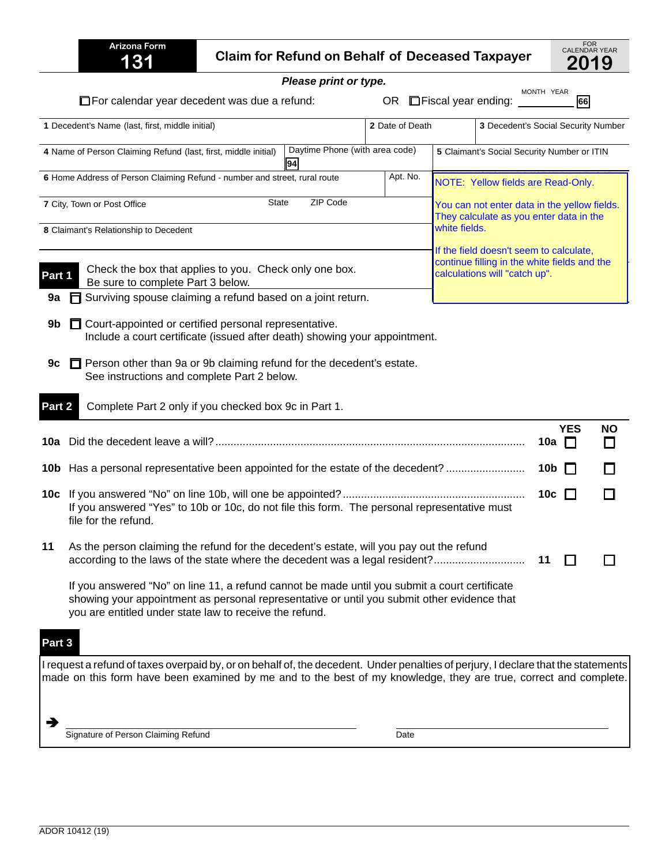|        | <b>Arizona Form</b><br>131                                                                                                                                                                                                                              |  | <b>Claim for Refund on Behalf of Deceased Taxpayer</b> |                 |                            |                                             |                             | FOR<br>CALENDAR YEAR<br>2019 |
|--------|---------------------------------------------------------------------------------------------------------------------------------------------------------------------------------------------------------------------------------------------------------|--|--------------------------------------------------------|-----------------|----------------------------|---------------------------------------------|-----------------------------|------------------------------|
|        |                                                                                                                                                                                                                                                         |  | Please print or type.                                  |                 |                            |                                             |                             |                              |
|        | $\Box$ For calendar year decedent was due a refund:                                                                                                                                                                                                     |  |                                                        | OR.             | $\Box$ Fiscal year ending: | MONTH YEAR                                  | <b>66</b>                   |                              |
|        | 1 Decedent's Name (last, first, middle initial)                                                                                                                                                                                                         |  |                                                        | 2 Date of Death |                            | 3 Decedent's Social Security Number         |                             |                              |
|        | 4 Name of Person Claiming Refund (last, first, middle initial)                                                                                                                                                                                          |  | Daytime Phone (with area code)<br>94                   |                 |                            | 5 Claimant's Social Security Number or ITIN |                             |                              |
|        | 6 Home Address of Person Claiming Refund - number and street, rural route                                                                                                                                                                               |  |                                                        | Apt. No.        |                            | NOTE: Yellow fields are Read-Only.          |                             |                              |
|        | ZIP Code<br><b>State</b><br>7 City, Town or Post Office<br>You can not enter data in the yellow fields.                                                                                                                                                 |  |                                                        |                 |                            | They calculate as you enter data in the     |                             |                              |
|        | 8 Claimant's Relationship to Decedent                                                                                                                                                                                                                   |  |                                                        |                 | white fields.              |                                             |                             |                              |
|        | If the field doesn't seem to calculate,<br>continue filling in the white fields and the<br>Check the box that applies to you. Check only one box.<br>calculations will "catch up".<br>Part 1<br>Be sure to complete Part 3 below.                       |  |                                                        |                 |                            |                                             |                             |                              |
| 9a     | Surviving spouse claiming a refund based on a joint return.                                                                                                                                                                                             |  |                                                        |                 |                            |                                             |                             |                              |
| 9b.    | Court-appointed or certified personal representative.<br>Include a court certificate (issued after death) showing your appointment.                                                                                                                     |  |                                                        |                 |                            |                                             |                             |                              |
| 9c     | Person other than 9a or 9b claiming refund for the decedent's estate.<br>See instructions and complete Part 2 below.                                                                                                                                    |  |                                                        |                 |                            |                                             |                             |                              |
| Part 2 | Complete Part 2 only if you checked box 9c in Part 1.                                                                                                                                                                                                   |  |                                                        |                 |                            |                                             |                             |                              |
|        |                                                                                                                                                                                                                                                         |  |                                                        |                 |                            |                                             | <b>YES</b><br>10a<br>$\Box$ | <b>NO</b>                    |
|        | 10b Has a personal representative been appointed for the estate of the decedent?                                                                                                                                                                        |  |                                                        |                 |                            |                                             | 10b                         |                              |
|        | If you answered "Yes" to 10b or 10c, do not file this form. The personal representative must<br>file for the refund.                                                                                                                                    |  |                                                        |                 |                            |                                             | 10c                         |                              |
| 11     | As the person claiming the refund for the decedent's estate, will you pay out the refund<br>according to the laws of the state where the decedent was a legal resident?                                                                                 |  |                                                        |                 |                            | 11                                          |                             |                              |
|        | If you answered "No" on line 11, a refund cannot be made until you submit a court certificate<br>showing your appointment as personal representative or until you submit other evidence that<br>you are entitled under state law to receive the refund. |  |                                                        |                 |                            |                                             |                             |                              |
| Part 3 |                                                                                                                                                                                                                                                         |  |                                                        |                 |                            |                                             |                             |                              |
|        | I request a refund of taxes overpaid by, or on behalf of, the decedent. Under penalties of perjury, I declare that the statements<br>made on this form have been examined by me and to the best of my knowledge, they are true, correct and complete.   |  |                                                        |                 |                            |                                             |                             |                              |
|        | Signature of Person Claiming Refund                                                                                                                                                                                                                     |  |                                                        | Date            |                            |                                             |                             |                              |

J